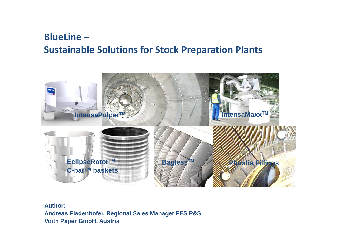# **BlueLine – Sustainable Solutions for Stock Preparation Plants**



**Author:Andreas Fladenhofer, Regional Sales Manager FES P&SVoith Paper GmbH, Austria**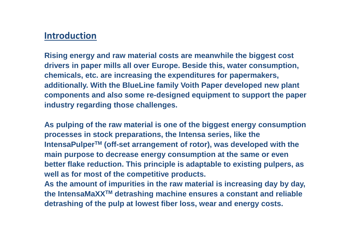# **Introduction**

**Rising energy and raw material costs are meanwhile the biggest cost drivers in paper mills all over Europe. Beside this, water consumption, chemicals, etc. are increasing the expenditures for papermakers, additionally. With the BlueLine family Voith Paper developed new plant components and also some re-designed equipment to support the paper industry regarding those challenges.**

**As pulping of the raw material is one of the biggest energy consumption processes in stock preparations, the Intensa series, like the IntensaPulperTM (off-set arrangement of rotor), was developed with the main purpose to decrease energy consumption at the same or even better flake reduction. This principle is adaptable to existing pulpers, as well as for most of the competitive products.**

**As the amount of impurities in the raw material is increasing day by day, the IntensaMaXXTM detrashing machine ensures a constant and reliable detrashing of the pulp at lowest fiber loss, wear and energy costs.**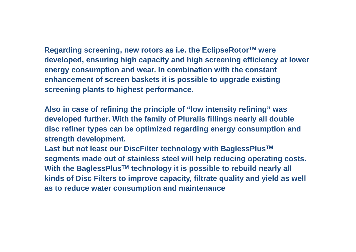**Regarding screening, new rotors as i.e. the EclipseRotorTM were developed, ensuring high capacity and high screening efficiency at lower energy consumption and wear. In combination with the constant enhancement of screen baskets it is possible to upgrade existing screening plants to highest performance.** 

**Also in case of refining the principle of "low intensity refining" was developed further. With the family of Pluralis fillings nearly all double disc refiner types can be optimized regarding energy consumption and strength development.**

**Last but not least our DiscFilter technology with BaglessPlusTMsegments made out of stainless steel will help reducing operating costs. With the BaglessPlusTM technology it is possible to rebuild nearly all kinds of Disc Filters to improve capacity, filtrate quality and yield as well as to reduce water consumption and maintenance**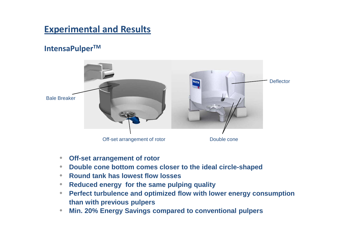# **Experimental and Results**

### **IntensaPulperTM**



- $\bullet$ **Off-set arrangement of rotor**
- •**Double cone bottom comes closer to the ideal circle-shaped**
- •**Round tank has lowest flow losses**
- **Reduced energy for the same pulping quality**   $\bullet$
- $\bullet$  **Perfect turbulence and optimized flow with lower energy consumption than with previous pulpers**
- **Min. 20% Energy Savings compared to conventional pulpers**  $\bullet$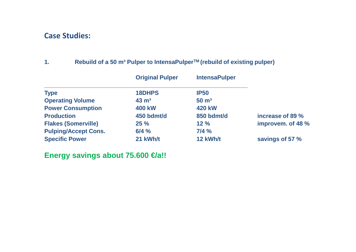#### **Case Studies:**

#### **1. Rebuild of a 50 m³ Pulper to IntensaPulperTM (rebuild of existing pulper)**

|                             | <b>Original Pulper</b> | <b>IntensaPulper</b> |                   |
|-----------------------------|------------------------|----------------------|-------------------|
| <b>Type</b>                 | 18DHPS                 | <b>IP50</b>          |                   |
| <b>Operating Volume</b>     | $43 \text{ m}^3$       | $50 \text{ m}^3$     |                   |
| <b>Power Consumption</b>    | <b>400 kW</b>          | <b>420 kW</b>        |                   |
| <b>Production</b>           | 450 bdmt/d             | 850 bdmt/d           | increase of 89 %  |
| <b>Flakes (Somerville)</b>  | 25%                    | 12%                  | improvem. of 48 % |
| <b>Pulping/Accept Cons.</b> | 6/4%                   | 7/4%                 |                   |
| <b>Specific Power</b>       | 21 kWh/t               | 12 kWh/t             | savings of 57 %   |

**Energy savings about 75.600 €/a!!**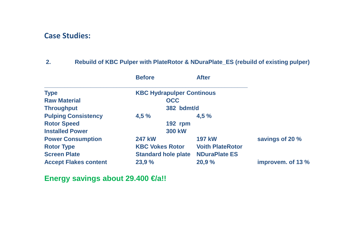#### **Case Studies:**

#### **2. Rebuild of KBC Pulper with PlateRotor & NDuraPlate\_ES (rebuild of existing pulper)**

|                              | <b>Before</b>                    | <b>After</b>            |                   |
|------------------------------|----------------------------------|-------------------------|-------------------|
| <b>Type</b>                  | <b>KBC Hydrapulper Continous</b> |                         |                   |
| <b>Raw Material</b>          | <b>OCC</b>                       |                         |                   |
| <b>Throughput</b>            |                                  | 382 bdmt/d              |                   |
| <b>Pulping Consistency</b>   | 4,5%                             | 4,5%                    |                   |
| <b>Rotor Speed</b>           |                                  | <b>192 rpm</b>          |                   |
| <b>Installed Power</b>       |                                  | <b>300 kW</b>           |                   |
| <b>Power Consumption</b>     | <b>247 kW</b>                    | <b>197 kW</b>           | savings of 20 %   |
| <b>Rotor Type</b>            | <b>KBC Vokes Rotor</b>           | <b>Voith PlateRotor</b> |                   |
| <b>Screen Plate</b>          | <b>Standard hole plate</b>       | <b>NDuraPlate ES</b>    |                   |
| <b>Accept Flakes content</b> | 23,9 %                           | 20,9 %                  | improvem. of 13 % |

**Energy savings about 29.400 €/a!!**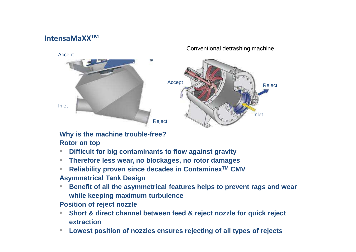### **IntensaMaXXTM**



Conventional detrashing machine

#### **Why is the machine trouble-free?**

#### **Rotor on top**

- **Difficult for big contaminants to flow against gravity**•
- **Therefore less wear, no blockages, no rotor damages** $\bullet$
- **Reliability proven since decades in ContaminexTM CMV**•**Asymmetrical Tank Design**
- $\bullet$  **Benefit of all the asymmetrical features helps to prevent rags and wear while keeping maximum turbulence**

#### **Position of reject nozzle**

- **Short & direct channel between feed & reject nozzle for quick reject**   $\bullet$ **extraction**
- **Lowest position of nozzles ensures rejecting of all types of rejects**•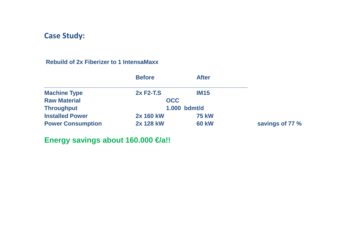#### **Rebuild of 2x Fiberizer to 1 IntensaMaxx**

|                          | <b>Before</b>  | <b>After</b> |                 |
|--------------------------|----------------|--------------|-----------------|
| <b>Machine Type</b>      | 2x F2-T.S      | <b>IM15</b>  |                 |
| <b>Raw Material</b>      | <b>OCC</b>     |              |                 |
| <b>Throughput</b>        | $1.000$ bdmt/d |              |                 |
| <b>Installed Power</b>   | 2x 160 kW      | <b>75 kW</b> |                 |
| <b>Power Consumption</b> | 2x 128 kW      | <b>60 kW</b> | savings of 77 % |

**Energy savings about 160.000 €/a!!**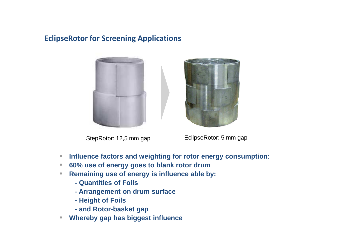### **EclipseRotor for Screening Applications**







EclipseRotor: 5 mm gap

- $\bullet$ **Influence factors and weighting for rotor energy consumption:**
- $\bullet$ **60% use of energy goes to blank rotor drum**
- **Remaining use of energy is influence able by:**  $\bullet$ 
	- **- Quantities of Foils**
	- **- Arrangement on drum surface**
	- **- Height of Foils**
	- **- and Rotor-basket gap**
- $\bullet$ **Whereby gap has biggest influence**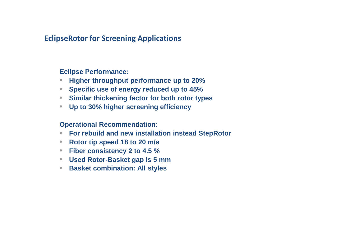#### **EclipseRotor for Screening Applications**

**Eclipse Performance:**

- $\bullet$ **Higher throughput performance up to 20%**
- **Specific use of energy reduced up to 45%**
- **Similar thickening factor for both rotor types**
- $\bullet$ **Up to 30% higher screening efficiency**

**Operational Recommendation:**

- •**For rebuild and new installation instead StepRotor**
- $\bullet$ **Rotor tip speed 18 to 20 m/s**
- **Fiber consistency 2 to 4.5 %**
- **Used Rotor-Basket gap is 5 mm**
- **Basket combination: All styles** $\bullet$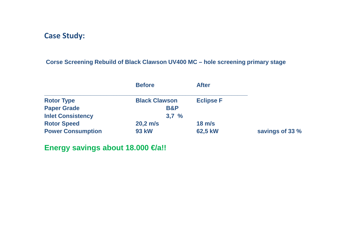### **Corse Screening Rebuild of Black Clawson UV400 MC – hole screening primary stage**

|                          | <b>Before</b>        | <b>After</b>     |                 |
|--------------------------|----------------------|------------------|-----------------|
| <b>Rotor Type</b>        | <b>Black Clawson</b> | <b>Eclipse F</b> |                 |
| <b>Paper Grade</b>       | <b>B&amp;P</b>       |                  |                 |
| <b>Inlet Consistency</b> | 3,7%                 |                  |                 |
| <b>Rotor Speed</b>       | $20,2 \, \text{m/s}$ | $18 \text{ m/s}$ |                 |
| <b>Power Consumption</b> | <b>93 kW</b>         | 62,5 kW          | savings of 33 % |

### **Energy savings about 18.000 €/a!!**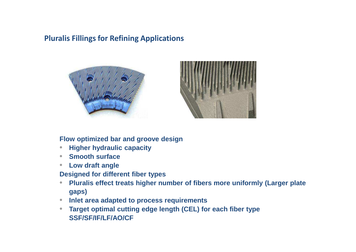### **Pluralis Fillings for Refining Applications**





#### **Flow optimized bar and groove design**

- $\bullet$ **Higher hydraulic capacity**
- $\bullet$ **Smooth surface**
- **Low draft angle**   $\bullet$

**Designed for different fiber types**

- **Pluralis effect treats higher number of fibers more uniformly (Larger plate**   $\bullet$ **gaps)**
- **Inlet area adapted to process requirements**
- **Target optimal cutting edge length (CEL) for each fiber type** $\bullet$ **SSF/SF/IF/LF/AO/CF**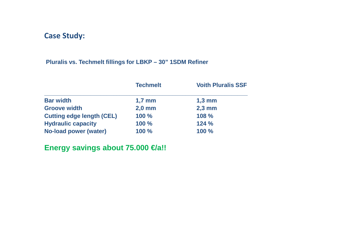#### **Pluralis vs. Techmelt fillings for LBKP – 30" 1SDM Refiner**

|                                  | <b>Techmelt</b> | <b>Voith Pluralis SSF</b> |
|----------------------------------|-----------------|---------------------------|
| <b>Bar width</b>                 | $1,7$ mm        | $1,3 \text{ mm}$          |
| <b>Groove width</b>              | $2,0$ mm        | $2,3$ mm                  |
| <b>Cutting edge length (CEL)</b> | 100 %           | 108 %                     |
| <b>Hydraulic capacity</b>        | 100 %           | 124%                      |
| <b>No-load power (water)</b>     | 100 %           | 100 %                     |

## **Energy savings about 75.000 €/a!!**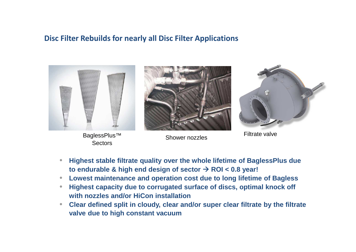#### **Disc Filter Rebuilds for nearly all Disc Filter Applications**



BaglessPlus™ **Sectors** 



Shower nozzles



Filtrate valve

- $\bullet$  **Highest stable filtrate quality over the whole lifetime of BaglessPlus due to endurable & high end design of sector ROI < 0.8 year!**
- $\bullet$ **Lowest maintenance and operation cost due to long lifetime of Bagless**
- **Highest capacity due to corrugated surface of discs, optimal knock off**   $\bullet$ **with nozzles and/or HiCon installation**
- **Clear defined split in cloudy, clear and/or super clear filtrate by the filtrate**   $\bullet$ **valve due to high constant vacuum**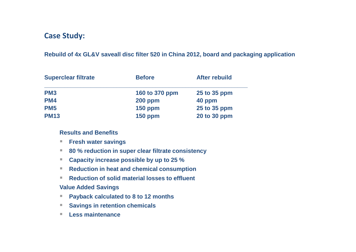#### **Rebuild of 4x GL&V saveall disc filter 520 in China 2012, board and packaging application**

| <b>Superclear filtrate</b> | <b>Before</b>  | <b>After rebuild</b> |
|----------------------------|----------------|----------------------|
| PM <sub>3</sub>            | 160 to 370 ppm | 25 to 35 ppm         |
| PM4                        | <b>200 ppm</b> | 40 ppm               |
| <b>PM5</b>                 | <b>150 ppm</b> | 25 to 35 ppm         |
| <b>PM13</b>                | <b>150 ppm</b> | 20 to 30 ppm         |

#### **Results and Benefits**

- -**Fresh water savings**
- -**80 % reduction in super clear filtrate consistency**
- -**Capacity increase possible by up to 25 %**
- Reduction in heat and chemical consumption -
- **Reduction of solid material losses to effluent** -

#### **Value Added Savings**

- -**Payback calculated to 8 to 12 months**
- -**Savings in retention chemicals**
- -**Less maintenance**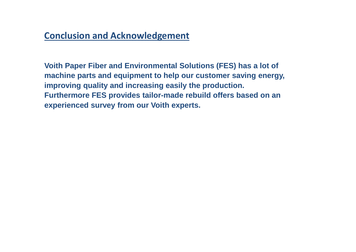# **Conclusion and Acknowledgement**

**Voith Paper Fiber and Environmental Solutions (FES) has a lot of machine parts and equipment to help our customer saving energy, improving quality and increasing easily the production.Furthermore FES provides tailor-made rebuild offers based on an experienced survey from our Voith experts.**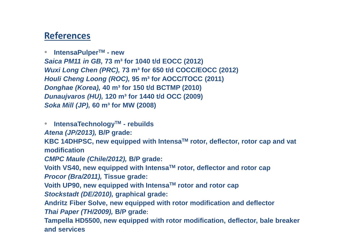## **References**

 $\bullet$ **IntensaPulperTM - new**

 **Saica PM11 in GB, 73 m³ for 1040 t/d EOCC (2012)Wuxi Long Chen (PRC), 73 m³ for 650 t/d COCC/EOCC (2012)Houli Cheng Loong (ROC), 95 m³ for AOCC/TOCC (2011)Donghae (Korea), 40 m³ for 150 t/d BCTMP (2010)Dunaujvaros (HU), 120 m³ for 1440 t/d OCC (2009)Soka Mill (JP), 60 m³ for MW (2008)**

 $\bullet$ **IntensaTechnologyTM - rebuilds**

**Atena (JP/2013), B/P grade:**

**KBC 14DHPSC, new equipped with IntensaTM rotor, deflector, rotor cap and vat modification** 

**CMPC Maule (Chile/2012), B/P grade:**

**Voith VS40, new equipped with IntensaTM rotor, deflector and rotor capProcor (Bra/2011), Tissue grade:**

**Voith UP90, new equipped with IntensaTM rotor and rotor cap**

**Stockstadt (DE/2010), graphical grade:**

**Andritz Fiber Solve, new equipped with rotor modification and deflectorThai Paper (TH/2009), B/P grade**:

**Tampella HD5500, new equipped with rotor modification, deflector, bale breaker and services**